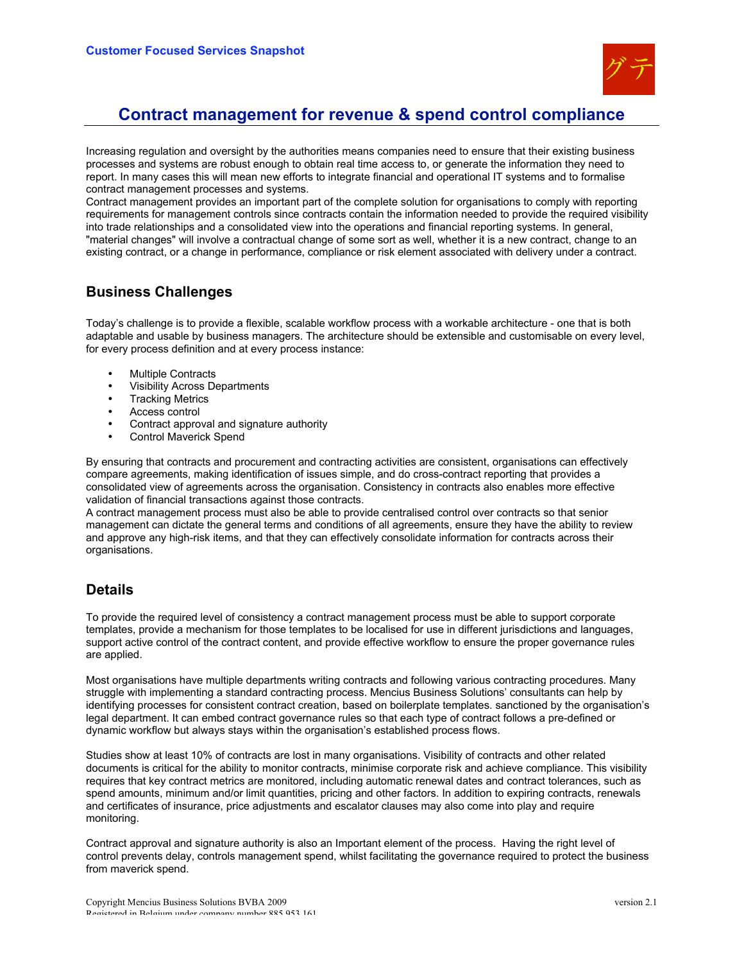

# **Contract management for revenue & spend control compliance**

Increasing regulation and oversight by the authorities means companies need to ensure that their existing business processes and systems are robust enough to obtain real time access to, or generate the information they need to report. In many cases this will mean new efforts to integrate financial and operational IT systems and to formalise contract management processes and systems.

Contract management provides an important part of the complete solution for organisations to comply with reporting requirements for management controls since contracts contain the information needed to provide the required visibility into trade relationships and a consolidated view into the operations and financial reporting systems. In general, "material changes" will involve a contractual change of some sort as well, whether it is a new contract, change to an existing contract, or a change in performance, compliance or risk element associated with delivery under a contract.

#### **Business Challenges**

Today's challenge is to provide a flexible, scalable workflow process with a workable architecture - one that is both adaptable and usable by business managers. The architecture should be extensible and customisable on every level, for every process definition and at every process instance:

- **Multiple Contracts**
- Visibility Across Departments
- **Tracking Metrics**
- Access control
- Contract approval and signature authority
- Control Maverick Spend

By ensuring that contracts and procurement and contracting activities are consistent, organisations can effectively compare agreements, making identification of issues simple, and do cross-contract reporting that provides a consolidated view of agreements across the organisation. Consistency in contracts also enables more effective validation of financial transactions against those contracts.

A contract management process must also be able to provide centralised control over contracts so that senior management can dictate the general terms and conditions of all agreements, ensure they have the ability to review and approve any high-risk items, and that they can effectively consolidate information for contracts across their organisations.

## **Details**

To provide the required level of consistency a contract management process must be able to support corporate templates, provide a mechanism for those templates to be localised for use in different jurisdictions and languages, support active control of the contract content, and provide effective workflow to ensure the proper governance rules are applied.

Most organisations have multiple departments writing contracts and following various contracting procedures. Many struggle with implementing a standard contracting process. Mencius Business Solutions' consultants can help by identifying processes for consistent contract creation, based on boilerplate templates. sanctioned by the organisation's legal department. It can embed contract governance rules so that each type of contract follows a pre-defined or dynamic workflow but always stays within the organisation's established process flows.

Studies show at least 10% of contracts are lost in many organisations. Visibility of contracts and other related documents is critical for the ability to monitor contracts, minimise corporate risk and achieve compliance. This visibility requires that key contract metrics are monitored, including automatic renewal dates and contract tolerances, such as spend amounts, minimum and/or limit quantities, pricing and other factors. In addition to expiring contracts, renewals and certificates of insurance, price adjustments and escalator clauses may also come into play and require monitoring.

Contract approval and signature authority is also an Important element of the process. Having the right level of control prevents delay, controls management spend, whilst facilitating the governance required to protect the business from maverick spend.